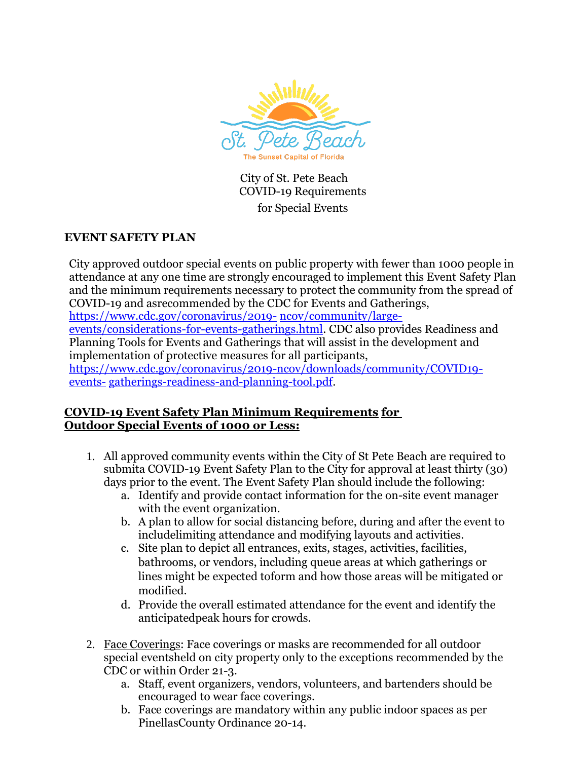

City of St. Pete Beach COVID-19 Requirements for Special Events

# **EVENT SAFETY PLAN**

City approved outdoor special events on public property with fewer than 1000 people in attendance at any one time are strongly encouraged to implement this Event Safety Plan and the minimum requirements necessary to protect the community from the spread of COVID-19 and asrecommended by the CDC for Events and Gatherings,

[https://www.cdc.gov/coronavirus/2019-](https://www.cdc.gov/coronavirus/2019-ncov/community/large-events/considerations-for-events-gatherings.html) [ncov/community/large-](https://www.cdc.gov/coronavirus/2019-ncov/community/large-events/considerations-for-events-gatherings.html)

[events/considerations-for-events-gatherings.html.](https://www.cdc.gov/coronavirus/2019-ncov/community/large-events/considerations-for-events-gatherings.html) CDC also provides Readiness and Planning Tools for Events and Gatherings that will assist in the development and implementation of protective measures for all participants,

[https://www.cdc.gov/coronavirus/2019-ncov/downloads/community/COVID19](https://www.cdc.gov/coronavirus/2019-ncov/downloads/community/COVID19-events-gatherings-readiness-and-planning-tool.pdf) [events-](https://www.cdc.gov/coronavirus/2019-ncov/downloads/community/COVID19-events-gatherings-readiness-and-planning-tool.pdf) [gatherings-readiness-and-planning-tool.pdf.](https://www.cdc.gov/coronavirus/2019-ncov/downloads/community/COVID19-events-gatherings-readiness-and-planning-tool.pdf)

## **COVID-19 Event Safety Plan Minimum Requirements for Outdoor Special Events of 1000 or Less:**

- 1. All approved community events within the City of St Pete Beach are required to submita COVID-19 Event Safety Plan to the City for approval at least thirty (30) days prior to the event. The Event Safety Plan should include the following:
	- a. Identify and provide contact information for the on-site event manager with the event organization.
	- b. A plan to allow for social distancing before, during and after the event to includelimiting attendance and modifying layouts and activities.
	- c. Site plan to depict all entrances, exits, stages, activities, facilities, bathrooms, or vendors, including queue areas at which gatherings or lines might be expected toform and how those areas will be mitigated or modified.
	- d. Provide the overall estimated attendance for the event and identify the anticipatedpeak hours for crowds.
- 2. Face Coverings: Face coverings or masks are recommended for all outdoor special eventsheld on city property only to the exceptions recommended by the CDC or within Order 21-3.
	- a. Staff, event organizers, vendors, volunteers, and bartenders should be encouraged to wear face coverings.
	- b. Face coverings are mandatory within any public indoor spaces as per PinellasCounty Ordinance 20-14.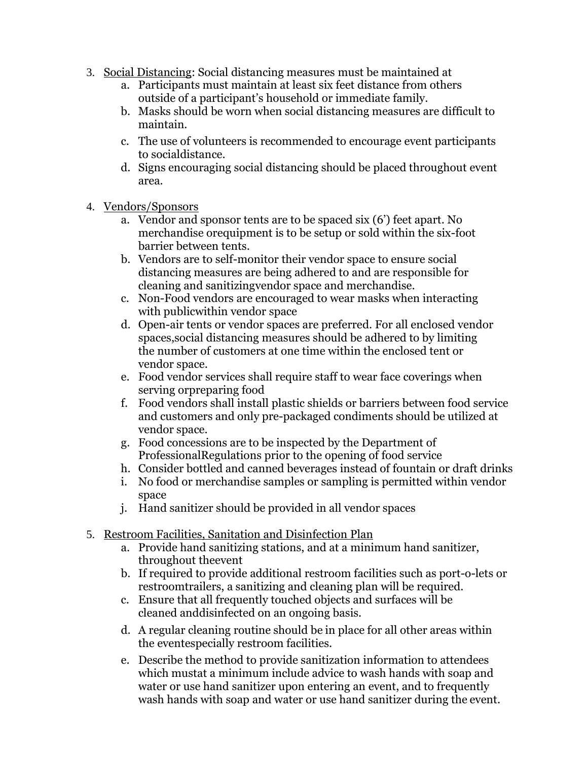- 3. Social Distancing: Social distancing measures must be maintained at
	- a. Participants must maintain at least six feet distance from others outside of a participant's household or immediate family.
	- b. Masks should be worn when social distancing measures are difficult to maintain.
	- c. The use of volunteers is recommended to encourage event participants to socialdistance.
	- d. Signs encouraging social distancing should be placed throughout event area.
- 4. Vendors/Sponsors
	- a. Vendor and sponsor tents are to be spaced six (6') feet apart. No merchandise orequipment is to be setup or sold within the six-foot barrier between tents.
	- b. Vendors are to self-monitor their vendor space to ensure social distancing measures are being adhered to and are responsible for cleaning and sanitizingvendor space and merchandise.
	- c. Non-Food vendors are encouraged to wear masks when interacting with publicwithin vendor space
	- d. Open-air tents or vendor spaces are preferred. For all enclosed vendor spaces,social distancing measures should be adhered to by limiting the number of customers at one time within the enclosed tent or vendor space.
	- e. Food vendor services shall require staff to wear face coverings when serving orpreparing food
	- f. Food vendors shall install plastic shields or barriers between food service and customers and only pre-packaged condiments should be utilized at vendor space.
	- g. Food concessions are to be inspected by the Department of ProfessionalRegulations prior to the opening of food service
	- h. Consider bottled and canned beverages instead of fountain or draft drinks
	- i. No food or merchandise samples or sampling is permitted within vendor space
	- j. Hand sanitizer should be provided in all vendor spaces
- 5. Restroom Facilities, Sanitation and Disinfection Plan
	- a. Provide hand sanitizing stations, and at a minimum hand sanitizer, throughout theevent
	- b. If required to provide additional restroom facilities such as port-o-lets or restroomtrailers, a sanitizing and cleaning plan will be required.
	- c. Ensure that all frequently touched objects and surfaces will be cleaned anddisinfected on an ongoing basis.
	- d. A regular cleaning routine should be in place for all other areas within the eventespecially restroom facilities.
	- e. Describe the method to provide sanitization information to attendees which mustat a minimum include advice to wash hands with soap and water or use hand sanitizer upon entering an event, and to frequently wash hands with soap and water or use hand sanitizer during the event.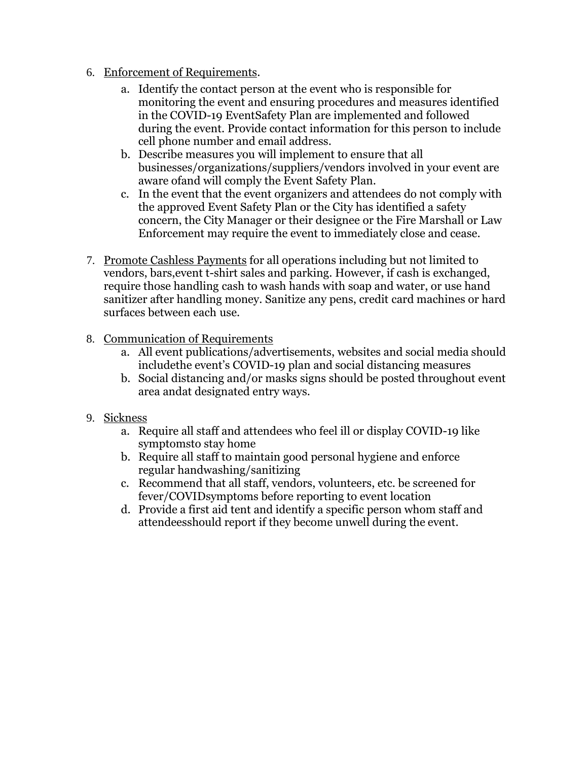- 6. Enforcement of Requirements.
	- a. Identify the contact person at the event who is responsible for monitoring the event and ensuring procedures and measures identified in the COVID-19 EventSafety Plan are implemented and followed during the event. Provide contact information for this person to include cell phone number and email address.
	- b. Describe measures you will implement to ensure that all businesses/organizations/suppliers/vendors involved in your event are aware ofand will comply the Event Safety Plan.
	- c. In the event that the event organizers and attendees do not comply with the approved Event Safety Plan or the City has identified a safety concern, the City Manager or their designee or the Fire Marshall or Law Enforcement may require the event to immediately close and cease.
- 7. Promote Cashless Payments for all operations including but not limited to vendors, bars,event t-shirt sales and parking. However, if cash is exchanged, require those handling cash to wash hands with soap and water, or use hand sanitizer after handling money. Sanitize any pens, credit card machines or hard surfaces between each use.
- 8. Communication of Requirements
	- a. All event publications/advertisements, websites and social media should includethe event's COVID-19 plan and social distancing measures
	- b. Social distancing and/or masks signs should be posted throughout event area andat designated entry ways.
- 9. Sickness
	- a. Require all staff and attendees who feel ill or display COVID-19 like symptomsto stay home
	- b. Require all staff to maintain good personal hygiene and enforce regular handwashing/sanitizing
	- c. Recommend that all staff, vendors, volunteers, etc. be screened for fever/COVIDsymptoms before reporting to event location
	- d. Provide a first aid tent and identify a specific person whom staff and attendeesshould report if they become unwell during the event.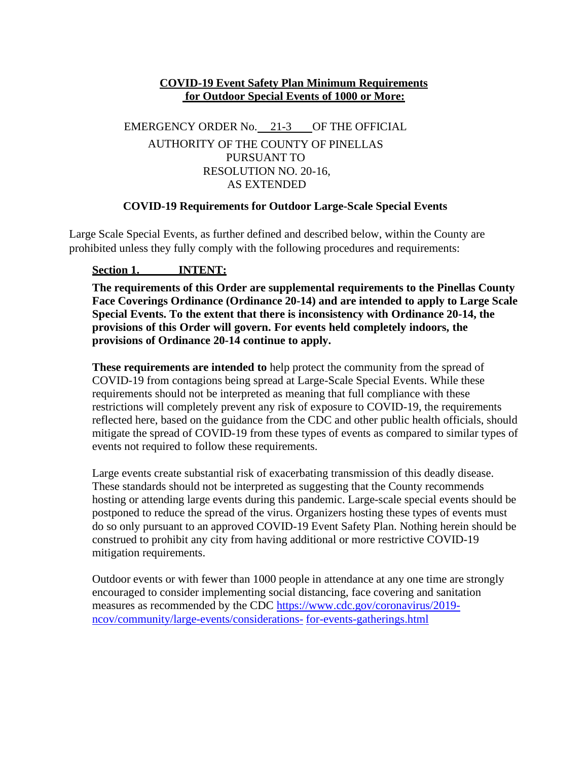### **COVID-19 Event Safety Plan Minimum Requirements for Outdoor Special Events of 1000 or More:**

# EMERGENCY ORDER No. 21-3 OF THE OFFICIAL AUTHORITY OF THE COUNTY OF PINELLAS PURSUANT TO RESOLUTION NO. 20-16, AS EXTENDED

### **COVID-19 Requirements for Outdoor Large-Scale Special Events**

Large Scale Special Events, as further defined and described below, within the County are prohibited unless they fully comply with the following procedures and requirements:

## **Section 1. INTENT:**

**The requirements of this Order are supplemental requirements to the Pinellas County Face Coverings Ordinance (Ordinance 20-14) and are intended to apply to Large Scale Special Events. To the extent that there is inconsistency with Ordinance 20-14, the provisions of this Order will govern. For events held completely indoors, the provisions of Ordinance 20-14 continue to apply.**

**These requirements are intended to** help protect the community from the spread of COVID-19 from contagions being spread at Large-Scale Special Events. While these requirements should not be interpreted as meaning that full compliance with these restrictions will completely prevent any risk of exposure to COVID-19, the requirements reflected here, based on the guidance from the CDC and other public health officials, should mitigate the spread of COVID-19 from these types of events as compared to similar types of events not required to follow these requirements.

Large events create substantial risk of exacerbating transmission of this deadly disease. These standards should not be interpreted as suggesting that the County recommends hosting or attending large events during this pandemic. Large-scale special events should be postponed to reduce the spread of the virus. Organizers hosting these types of events must do so only pursuant to an approved COVID-19 Event Safety Plan. Nothing herein should be construed to prohibit any city from having additional or more restrictive COVID-19 mitigation requirements.

Outdoor events or with fewer than 1000 people in attendance at any one time are strongly encouraged to consider implementing social distancing, face covering and sanitation measures as recommended by the CDC [https://www.cdc.gov/coronavirus/2019](https://www.cdc.gov/coronavirus/2019-ncov/community/large-events/considerations-) [ncov/community/large-events/considerations-](https://www.cdc.gov/coronavirus/2019-ncov/community/large-events/considerations-) for-events-gatherings.html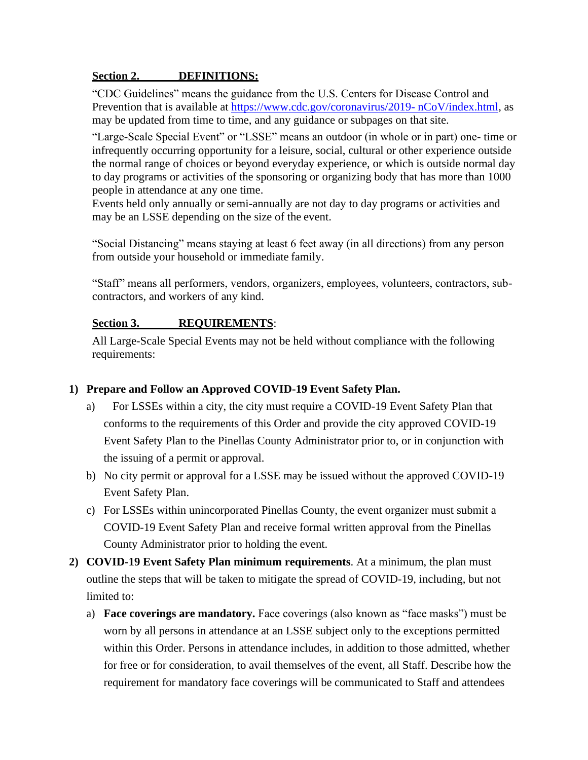#### **Section 2. DEFINITIONS:**

"CDC Guidelines" means the guidance from the U.S. Centers for Disease Control and Prevention that is available at<https://www.cdc.gov/coronavirus/2019-> nCoV/index.html, as may be updated from time to time, and any guidance or subpages on that site.

"Large-Scale Special Event" or "LSSE" means an outdoor (in whole or in part) one- time or infrequently occurring opportunity for a leisure, social, cultural or other experience outside the normal range of choices or beyond everyday experience, or which is outside normal day to day programs or activities of the sponsoring or organizing body that has more than 1000 people in attendance at any one time.

Events held only annually or semi-annually are not day to day programs or activities and may be an LSSE depending on the size of the event.

"Social Distancing" means staying at least 6 feet away (in all directions) from any person from outside your household or immediate family.

"Staff" means all performers, vendors, organizers, employees, volunteers, contractors, subcontractors, and workers of any kind.

### **Section 3. REQUIREMENTS**:

All Large-Scale Special Events may not be held without compliance with the following requirements:

### **1) Prepare and Follow an Approved COVID-19 Event Safety Plan.**

- a) For LSSEs within a city, the city must require a COVID-19 Event Safety Plan that conforms to the requirements of this Order and provide the city approved COVID-19 Event Safety Plan to the Pinellas County Administrator prior to, or in conjunction with the issuing of a permit or approval.
- b) No city permit or approval for a LSSE may be issued without the approved COVID-19 Event Safety Plan.
- c) For LSSEs within unincorporated Pinellas County, the event organizer must submit a COVID-19 Event Safety Plan and receive formal written approval from the Pinellas County Administrator prior to holding the event.
- **2) COVID-19 Event Safety Plan minimum requirements**. At a minimum, the plan must outline the steps that will be taken to mitigate the spread of COVID-19, including, but not limited to:
	- a) **Face coverings are mandatory.** Face coverings (also known as "face masks") must be worn by all persons in attendance at an LSSE subject only to the exceptions permitted within this Order. Persons in attendance includes, in addition to those admitted, whether for free or for consideration, to avail themselves of the event, all Staff. Describe how the requirement for mandatory face coverings will be communicated to Staff and attendees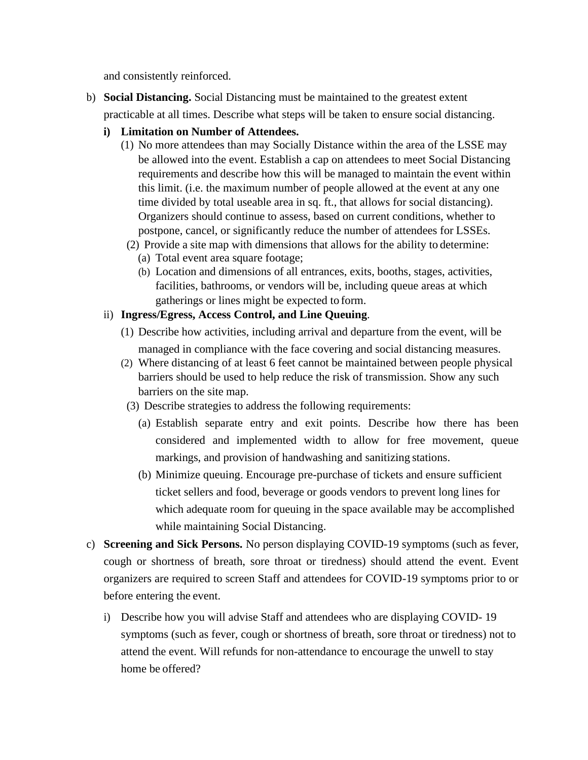and consistently reinforced.

- b) **Social Distancing.** Social Distancing must be maintained to the greatest extent practicable at all times. Describe what steps will be taken to ensure social distancing.
	- **i) Limitation on Number of Attendees.**
		- (1) No more attendees than may Socially Distance within the area of the LSSE may be allowed into the event. Establish a cap on attendees to meet Social Distancing requirements and describe how this will be managed to maintain the event within this limit. (i.e. the maximum number of people allowed at the event at any one time divided by total useable area in sq. ft., that allows for social distancing). Organizers should continue to assess, based on current conditions, whether to postpone, cancel, or significantly reduce the number of attendees for LSSEs.
		- (2) Provide a site map with dimensions that allows for the ability to determine:
			- (a) Total event area square footage;
			- (b) Location and dimensions of all entrances, exits, booths, stages, activities, facilities, bathrooms, or vendors will be, including queue areas at which gatherings or lines might be expected to form.
	- ii) **Ingress/Egress, Access Control, and Line Queuing**.
		- (1) Describe how activities, including arrival and departure from the event, will be managed in compliance with the face covering and social distancing measures.
		- (2) Where distancing of at least 6 feet cannot be maintained between people physical barriers should be used to help reduce the risk of transmission. Show any such barriers on the site map.
		- (3) Describe strategies to address the following requirements:
			- (a) Establish separate entry and exit points. Describe how there has been considered and implemented width to allow for free movement, queue markings, and provision of handwashing and sanitizing stations.
			- (b) Minimize queuing. Encourage pre-purchase of tickets and ensure sufficient ticket sellers and food, beverage or goods vendors to prevent long lines for which adequate room for queuing in the space available may be accomplished while maintaining Social Distancing.
- c) **Screening and Sick Persons.** No person displaying COVID-19 symptoms (such as fever, cough or shortness of breath, sore throat or tiredness) should attend the event. Event organizers are required to screen Staff and attendees for COVID-19 symptoms prior to or before entering the event.
	- i) Describe how you will advise Staff and attendees who are displaying COVID- 19 symptoms (such as fever, cough or shortness of breath, sore throat or tiredness) not to attend the event. Will refunds for non-attendance to encourage the unwell to stay home be offered?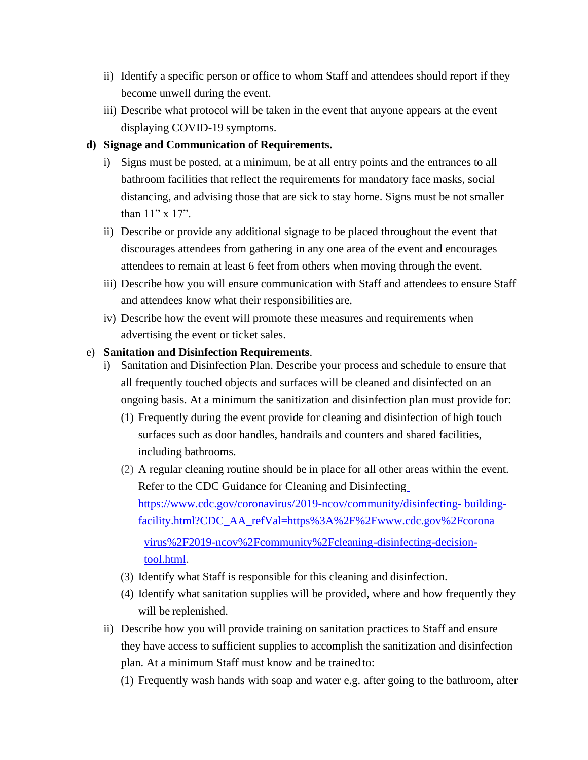- ii) Identify a specific person or office to whom Staff and attendees should report if they become unwell during the event.
- iii) Describe what protocol will be taken in the event that anyone appears at the event displaying COVID-19 symptoms.

#### **d) Signage and Communication of Requirements.**

- i) Signs must be posted, at a minimum, be at all entry points and the entrances to all bathroom facilities that reflect the requirements for mandatory face masks, social distancing, and advising those that are sick to stay home. Signs must be not smaller than 11" x 17".
- ii) Describe or provide any additional signage to be placed throughout the event that discourages attendees from gathering in any one area of the event and encourages attendees to remain at least 6 feet from others when moving through the event.
- iii) Describe how you will ensure communication with Staff and attendees to ensure Staff and attendees know what their responsibilities are.
- iv) Describe how the event will promote these measures and requirements when advertising the event or ticket sales.

#### e) **Sanitation and Disinfection Requirements**.

- i) Sanitation and Disinfection Plan. Describe your process and schedule to ensure that all frequently touched objects and surfaces will be cleaned and disinfected on an ongoing basis. At a minimum the sanitization and disinfection plan must provide for:
	- (1) Frequently during the event provide for cleaning and disinfection of high touch surfaces such as door handles, handrails and counters and shared facilities, including bathrooms.
	- (2) A regular cleaning routine should be in place for all other areas within the event. Refer to the CDC Guidance for Cleaning and Disinfecting <https://www.cdc.gov/coronavirus/2019-ncov/community/disinfecting-> buildingfacility.html?CDC\_AA\_refVal=https%3A%2F%2Fwww.cdc.gov%2Fcorona virus%2F2019-ncov%2Fcommunity%2Fcleaning-disinfecting-decisiontool.html.
	- (3) Identify what Staff is responsible for this cleaning and disinfection.
	- (4) Identify what sanitation supplies will be provided, where and how frequently they will be replenished.
- ii) Describe how you will provide training on sanitation practices to Staff and ensure they have access to sufficient supplies to accomplish the sanitization and disinfection plan. At a minimum Staff must know and be trained to:
	- (1) Frequently wash hands with soap and water e.g. after going to the bathroom, after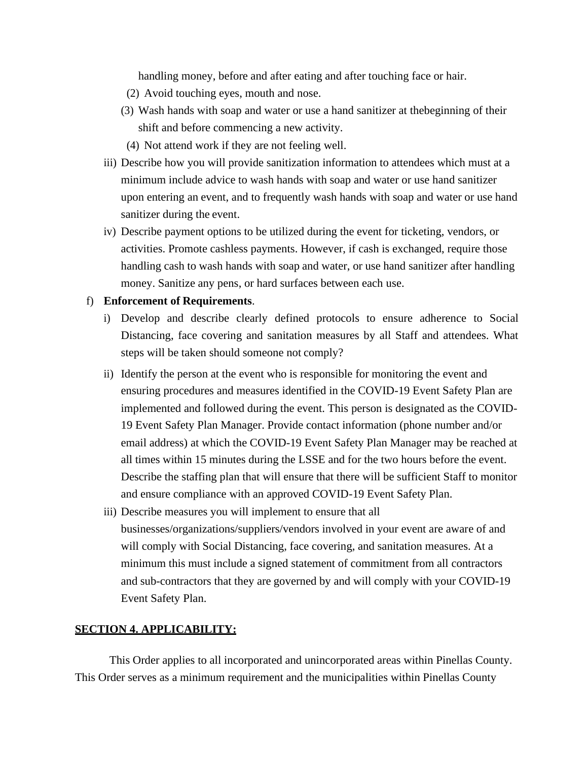handling money, before and after eating and after touching face or hair.

- (2) Avoid touching eyes, mouth and nose.
- (3) Wash hands with soap and water or use a hand sanitizer at thebeginning of their shift and before commencing a new activity.
- (4) Not attend work if they are not feeling well.
- iii) Describe how you will provide sanitization information to attendees which must at a minimum include advice to wash hands with soap and water or use hand sanitizer upon entering an event, and to frequently wash hands with soap and water or use hand sanitizer during the event.
- iv) Describe payment options to be utilized during the event for ticketing, vendors, or activities. Promote cashless payments. However, if cash is exchanged, require those handling cash to wash hands with soap and water, or use hand sanitizer after handling money. Sanitize any pens, or hard surfaces between each use.

#### f) **Enforcement of Requirements**.

- i) Develop and describe clearly defined protocols to ensure adherence to Social Distancing, face covering and sanitation measures by all Staff and attendees. What steps will be taken should someone not comply?
- ii) Identify the person at the event who is responsible for monitoring the event and ensuring procedures and measures identified in the COVID-19 Event Safety Plan are implemented and followed during the event. This person is designated as the COVID-19 Event Safety Plan Manager. Provide contact information (phone number and/or email address) at which the COVID-19 Event Safety Plan Manager may be reached at all times within 15 minutes during the LSSE and for the two hours before the event. Describe the staffing plan that will ensure that there will be sufficient Staff to monitor and ensure compliance with an approved COVID-19 Event Safety Plan.
- iii) Describe measures you will implement to ensure that all businesses/organizations/suppliers/vendors involved in your event are aware of and will comply with Social Distancing, face covering, and sanitation measures. At a minimum this must include a signed statement of commitment from all contractors and sub-contractors that they are governed by and will comply with your COVID-19 Event Safety Plan.

#### **SECTION 4. APPLICABILITY:**

This Order applies to all incorporated and unincorporated areas within Pinellas County. This Order serves as a minimum requirement and the municipalities within Pinellas County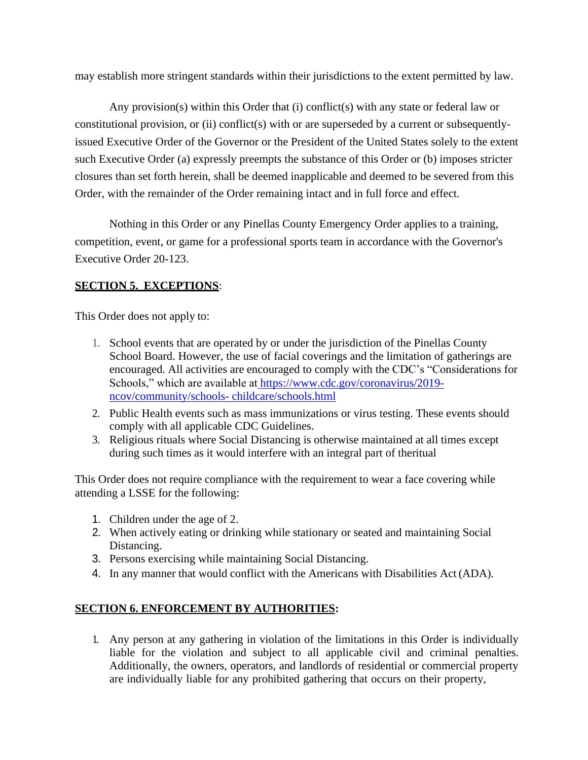may establish more stringent standards within their jurisdictions to the extent permitted by law.

Any provision(s) within this Order that (i) conflict(s) with any state or federal law or constitutional provision, or (ii) conflict(s) with or are superseded by a current or subsequentlyissued Executive Order of the Governor or the President of the United States solely to the extent such Executive Order (a) expressly preempts the substance of this Order or (b) imposes stricter closures than set forth herein, shall be deemed inapplicable and deemed to be severed from this Order, with the remainder of the Order remaining intact and in full force and effect.

Nothing in this Order or any Pinellas County Emergency Order applies to a training, competition, event, or game for a professional sports team in accordance with the Governor's Executive Order 20-123.

### **SECTION 5. EXCEPTIONS**:

This Order does not apply to:

- 1. School events that are operated by or under the jurisdiction of the Pinellas County School Board. However, the use of facial coverings and the limitation of gatherings are encouraged. All activities are encouraged to comply with the CDC's "Considerations for Schools," which are available at [https://www.cdc.gov/coronavirus/2019](https://www.cdc.gov/coronavirus/2019-ncov/community/schools-) [ncov/community/schools-](https://www.cdc.gov/coronavirus/2019-ncov/community/schools-) childcare/schools.html
- 2. Public Health events such as mass immunizations or virus testing. These events should comply with all applicable CDC Guidelines.
- 3. Religious rituals where Social Distancing is otherwise maintained at all times except during such times as it would interfere with an integral part of theritual

This Order does not require compliance with the requirement to wear a face covering while attending a LSSE for the following:

- 1. Children under the age of 2.
- 2. When actively eating or drinking while stationary or seated and maintaining Social Distancing.
- 3. Persons exercising while maintaining Social Distancing.
- 4. In any manner that would conflict with the Americans with Disabilities Act (ADA).

#### **SECTION 6. ENFORCEMENT BY AUTHORITIES:**

1. Any person at any gathering in violation of the limitations in this Order is individually liable for the violation and subject to all applicable civil and criminal penalties. Additionally, the owners, operators, and landlords of residential or commercial property are individually liable for any prohibited gathering that occurs on their property,